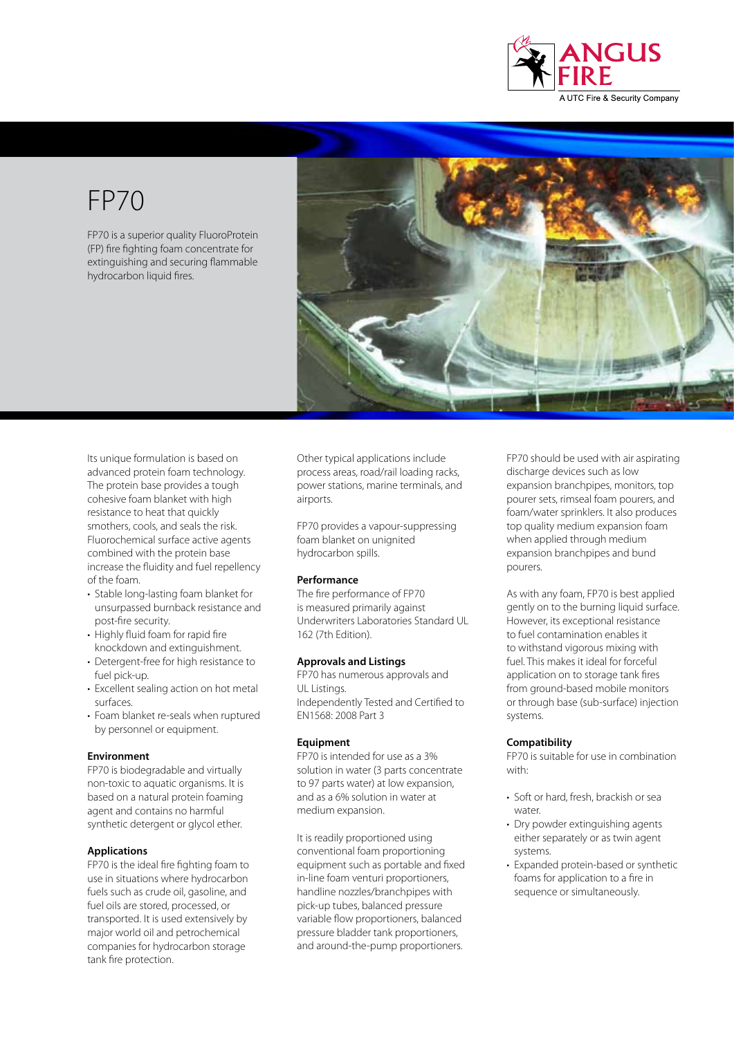

# FP70

FP70 is a superior quality FluoroProtein (FP) fire fighting foam concentrate for extinguishing and securing flammable hydrocarbon liquid fires.



Its unique formulation is based on advanced protein foam technology. The protein base provides a tough cohesive foam blanket with high resistance to heat that quickly smothers, cools, and seals the risk. Fluorochemical surface active agents combined with the protein base increase the fluidity and fuel repellency of the foam.

- Stable long-lasting foam blanket for unsurpassed burnback resistance and post-fire security.
- Highly fluid foam for rapid fire knockdown and extinguishment.
- Detergent-free for high resistance to fuel pick-up.
- Excellent sealing action on hot metal surfaces.
- Foam blanket re-seals when ruptured by personnel or equipment.

#### **Environment**

FP70 is biodegradable and virtually non-toxic to aquatic organisms. It is based on a natural protein foaming agent and contains no harmful synthetic detergent or glycol ether.

#### **Applications**

FP70 is the ideal fire fighting foam to use in situations where hydrocarbon fuels such as crude oil, gasoline, and fuel oils are stored, processed, or transported. It is used extensively by major world oil and petrochemical companies for hydrocarbon storage tank fire protection.

Other typical applications include process areas, road/rail loading racks, power stations, marine terminals, and airports.

FP70 provides a vapour-suppressing foam blanket on unignited hydrocarbon spills.

#### **Performance**

The fire performance of FP70 is measured primarily against Underwriters Laboratories Standard UL 162 (7th Edition).

#### **Approvals and Listings**

FP70 has numerous approvals and UL Listings. Independently Tested and Certified to EN1568: 2008 Part 3

#### **Equipment**

FP70 is intended for use as a 3% solution in water (3 parts concentrate to 97 parts water) at low expansion, and as a 6% solution in water at medium expansion.

It is readily proportioned using conventional foam proportioning equipment such as portable and fixed in-line foam venturi proportioners, handline nozzles/branchpipes with pick-up tubes, balanced pressure variable flow proportioners, balanced pressure bladder tank proportioners, and around-the-pump proportioners.

FP70 should be used with air aspirating discharge devices such as low expansion branchpipes, monitors, top pourer sets, rimseal foam pourers, and foam/water sprinklers. It also produces top quality medium expansion foam when applied through medium expansion branchpipes and bund pourers.

As with any foam, FP70 is best applied gently on to the burning liquid surface. However, its exceptional resistance to fuel contamination enables it to withstand vigorous mixing with fuel. This makes it ideal for forceful application on to storage tank fires from ground-based mobile monitors or through base (sub-surface) injection systems.

#### **Compatibility**

FP70 is suitable for use in combination with:

- Soft or hard, fresh, brackish or sea water.
- Dry powder extinguishing agents either separately or as twin agent systems.
- Expanded protein-based or synthetic foams for application to a fire in sequence or simultaneously.